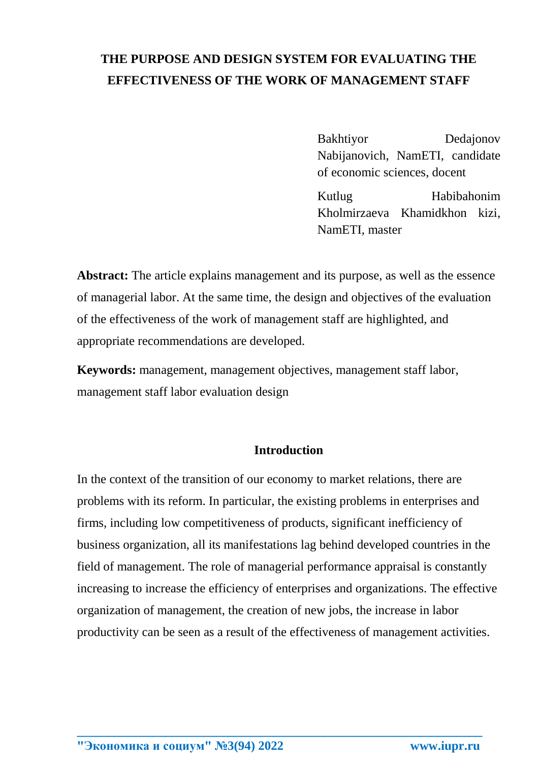# **THE PURPOSE AND DESIGN SYSTEM FOR EVALUATING THE EFFECTIVENESS OF THE WORK OF MANAGEMENT STAFF**

Bakhtiyor Dedajonov Nabijanovich, NamETI, candidate of economic sciences, docent

Kutlug Habibahonim Kholmirzaeva Khamidkhon kizi, NamETI, master

**Abstract:** The article explains management and its purpose, as well as the essence of managerial labor. At the same time, the design and objectives of the evaluation of the effectiveness of the work of management staff are highlighted, and appropriate recommendations are developed.

**Keywords:** management, management objectives, management staff labor, management staff labor evaluation design

#### **Introduction**

In the context of the transition of our economy to market relations, there are problems with its reform. In particular, the existing problems in enterprises and firms, including low competitiveness of products, significant inefficiency of business organization, all its manifestations lag behind developed countries in the field of management. The role of managerial performance appraisal is constantly increasing to increase the efficiency of enterprises and organizations. The effective organization of management, the creation of new jobs, the increase in labor productivity can be seen as a result of the effectiveness of management activities.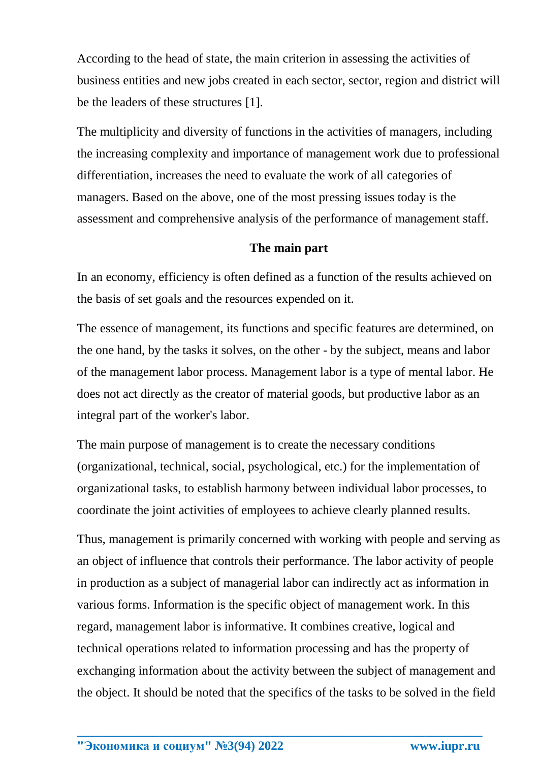According to the head of state, the main criterion in assessing the activities of business entities and new jobs created in each sector, sector, region and district will be the leaders of these structures [1].

The multiplicity and diversity of functions in the activities of managers, including the increasing complexity and importance of management work due to professional differentiation, increases the need to evaluate the work of all categories of managers. Based on the above, one of the most pressing issues today is the assessment and comprehensive analysis of the performance of management staff.

### **The main part**

In an economy, efficiency is often defined as a function of the results achieved on the basis of set goals and the resources expended on it.

The essence of management, its functions and specific features are determined, on the one hand, by the tasks it solves, on the other - by the subject, means and labor of the management labor process. Management labor is a type of mental labor. He does not act directly as the creator of material goods, but productive labor as an integral part of the worker's labor.

The main purpose of management is to create the necessary conditions (organizational, technical, social, psychological, etc.) for the implementation of organizational tasks, to establish harmony between individual labor processes, to coordinate the joint activities of employees to achieve clearly planned results.

Thus, management is primarily concerned with working with people and serving as an object of influence that controls their performance. The labor activity of people in production as a subject of managerial labor can indirectly act as information in various forms. Information is the specific object of management work. In this regard, management labor is informative. It combines creative, logical and technical operations related to information processing and has the property of exchanging information about the activity between the subject of management and the object. It should be noted that the specifics of the tasks to be solved in the field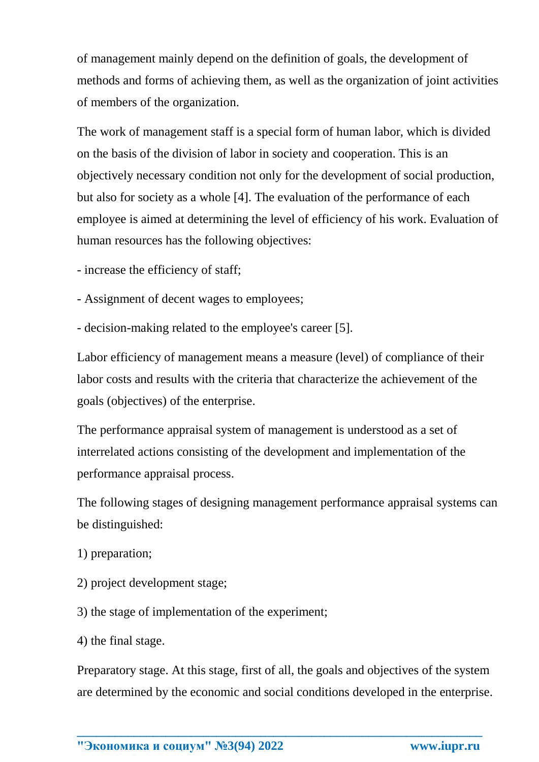of management mainly depend on the definition of goals, the development of methods and forms of achieving them, as well as the organization of joint activities of members of the organization.

The work of management staff is a special form of human labor, which is divided on the basis of the division of labor in society and cooperation. This is an objectively necessary condition not only for the development of social production, but also for society as a whole [4]. The evaluation of the performance of each employee is aimed at determining the level of efficiency of his work. Evaluation of human resources has the following objectives:

- increase the efficiency of staff;
- Assignment of decent wages to employees;
- decision-making related to the employee's career [5].

Labor efficiency of management means a measure (level) of compliance of their labor costs and results with the criteria that characterize the achievement of the goals (objectives) of the enterprise.

The performance appraisal system of management is understood as a set of interrelated actions consisting of the development and implementation of the performance appraisal process.

The following stages of designing management performance appraisal systems can be distinguished:

- 1) preparation;
- 2) project development stage;
- 3) the stage of implementation of the experiment;
- 4) the final stage.

Preparatory stage. At this stage, first of all, the goals and objectives of the system are determined by the economic and social conditions developed in the enterprise.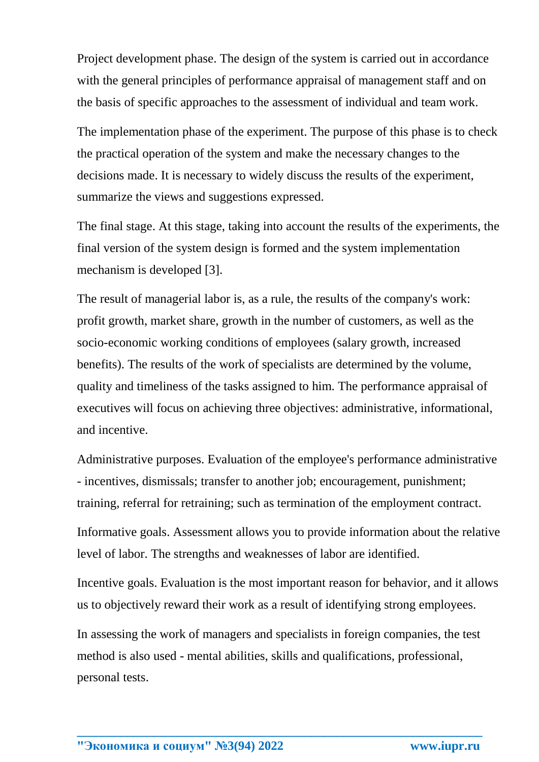Project development phase. The design of the system is carried out in accordance with the general principles of performance appraisal of management staff and on the basis of specific approaches to the assessment of individual and team work.

The implementation phase of the experiment. The purpose of this phase is to check the practical operation of the system and make the necessary changes to the decisions made. It is necessary to widely discuss the results of the experiment, summarize the views and suggestions expressed.

The final stage. At this stage, taking into account the results of the experiments, the final version of the system design is formed and the system implementation mechanism is developed [3].

The result of managerial labor is, as a rule, the results of the company's work: profit growth, market share, growth in the number of customers, as well as the socio-economic working conditions of employees (salary growth, increased benefits). The results of the work of specialists are determined by the volume, quality and timeliness of the tasks assigned to him. The performance appraisal of executives will focus on achieving three objectives: administrative, informational, and incentive.

Administrative purposes. Evaluation of the employee's performance administrative - incentives, dismissals; transfer to another job; encouragement, punishment; training, referral for retraining; such as termination of the employment contract.

Informative goals. Assessment allows you to provide information about the relative level of labor. The strengths and weaknesses of labor are identified.

Incentive goals. Evaluation is the most important reason for behavior, and it allows us to objectively reward their work as a result of identifying strong employees.

In assessing the work of managers and specialists in foreign companies, the test method is also used - mental abilities, skills and qualifications, professional, personal tests.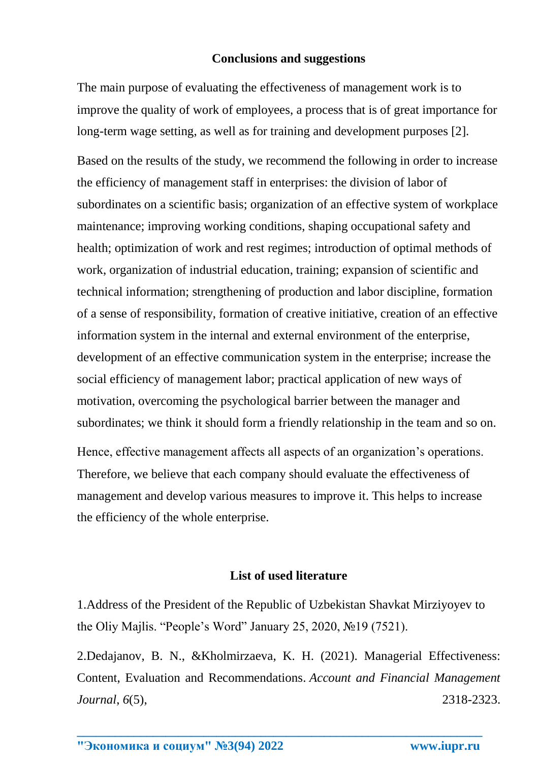## **Conclusions and suggestions**

The main purpose of evaluating the effectiveness of management work is to improve the quality of work of employees, a process that is of great importance for long-term wage setting, as well as for training and development purposes [2].

Based on the results of the study, we recommend the following in order to increase the efficiency of management staff in enterprises: the division of labor of subordinates on a scientific basis; organization of an effective system of workplace maintenance; improving working conditions, shaping occupational safety and health; optimization of work and rest regimes; introduction of optimal methods of work, organization of industrial education, training; expansion of scientific and technical information; strengthening of production and labor discipline, formation of a sense of responsibility, formation of creative initiative, creation of an effective information system in the internal and external environment of the enterprise, development of an effective communication system in the enterprise; increase the social efficiency of management labor; practical application of new ways of motivation, overcoming the psychological barrier between the manager and subordinates; we think it should form a friendly relationship in the team and so on.

Hence, effective management affects all aspects of an organization's operations. Therefore, we believe that each company should evaluate the effectiveness of management and develop various measures to improve it. This helps to increase the efficiency of the whole enterprise.

### **List of used literature**

1.Address of the President of the Republic of Uzbekistan Shavkat Mirziyoyev to the Oliy Majlis. "People's Word" January 25, 2020, №19 (7521).

2.Dedajanov, B. N., &Kholmirzaeva, K. H. (2021). Managerial Effectiveness: Content, Evaluation and Recommendations. *Account and Financial Management Journal*, *6*(5), 2318-2323.